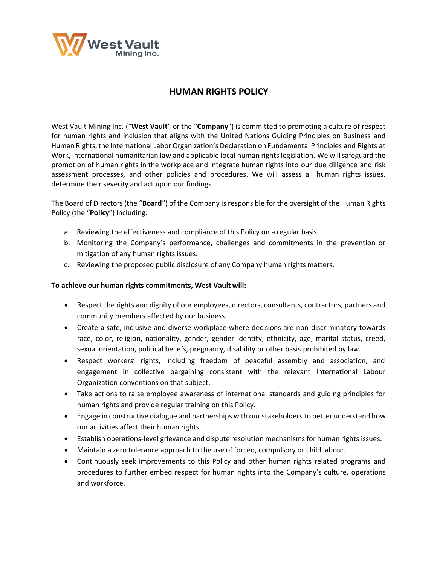

# **HUMAN RIGHTS POLICY**

West Vault Mining Inc. ("**West Vault**" or the "**Company**") is committed to promoting a culture of respect for human rights and inclusion that aligns with the United Nations Guiding Principles on Business and Human Rights, the International Labor Organization's Declaration on Fundamental Principles and Rights at Work, international humanitarian law and applicable local human rights legislation. We willsafeguard the promotion of human rights in the workplace and integrate human rights into our due diligence and risk assessment processes, and other policies and procedures. We will assess all human rights issues, determine their severity and act upon our findings.

The Board of Directors (the "**Board**") of the Company is responsible for the oversight of the Human Rights Policy (the "**Policy**") including:

- a. Reviewing the effectiveness and compliance of this Policy on a regular basis.
- b. Monitoring the Company's performance, challenges and commitments in the prevention or mitigation of any human rights issues.
- c. Reviewing the proposed public disclosure of any Company human rights matters.

#### **To achieve our human rights commitments, West Vault will:**

- Respect the rights and dignity of our employees, directors, consultants, contractors, partners and community members affected by our business.
- Create a safe, inclusive and diverse workplace where decisions are non-discriminatory towards race, color, religion, nationality, gender, gender identity, ethnicity, age, marital status, creed, sexual orientation, political beliefs, pregnancy, disability or other basis prohibited by law.
- Respect workers' rights, including freedom of peaceful assembly and association, and engagement in collective bargaining consistent with the relevant International Labour Organization conventions on that subject.
- Take actions to raise employee awareness of international standards and guiding principles for human rights and provide regular training on this Policy.
- Engage in constructive dialogue and partnerships with our stakeholders to better understand how our activities affect their human rights.
- Establish operations-level grievance and dispute resolution mechanisms for human rights issues.
- Maintain a zero tolerance approach to the use of forced, compulsory or child labour.
- Continuously seek improvements to this Policy and other human rights related programs and procedures to further embed respect for human rights into the Company's culture, operations and workforce.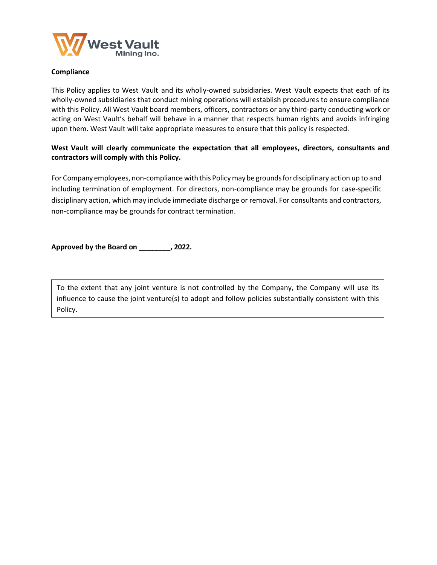

#### **Compliance**

This Policy applies to West Vault and its wholly-owned subsidiaries. West Vault expects that each of its wholly-owned subsidiaries that conduct mining operations will establish procedures to ensure compliance with this Policy. All West Vault board members, officers, contractors or any third-party conducting work or acting on West Vault's behalf will behave in a manner that respects human rights and avoids infringing upon them. West Vault will take appropriate measures to ensure that this policy is respected.

### **West Vault will clearly communicate the expectation that all employees, directors, consultants and contractors will comply with this Policy.**

For Company employees, non-compliance with this Policymay be groundsfordisciplinary action up to and including termination of employment. For directors, non-compliance may be grounds for case-specific disciplinary action, which may include immediate discharge or removal. For consultants and contractors, non-compliance may be grounds for contract termination.

**Approved by the Board on \_\_\_\_\_\_\_\_, 2022.**

**Acknowledgement** influence to cause the joint venture(s) to adopt and follow policies substantially consistent with this To the extent that any joint venture is not controlled by the Company, the Company will use its Policy.